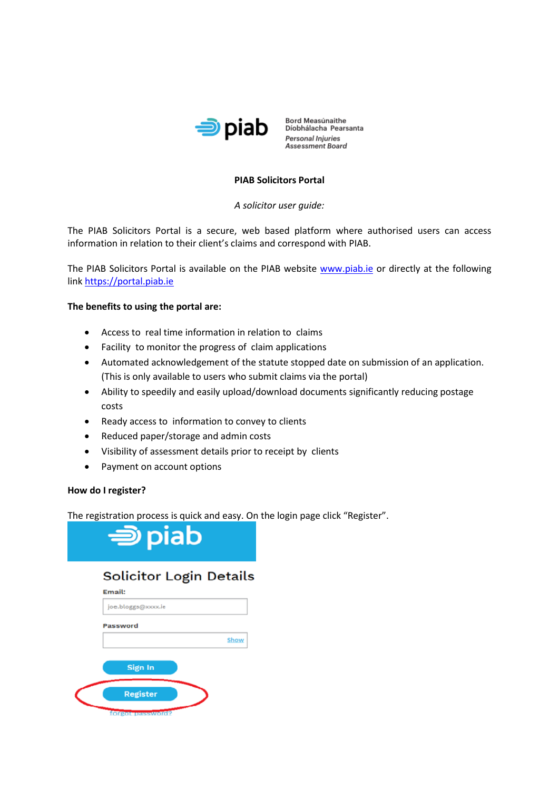

Bord Measúnaithe Díobhálacha Pearsanta Personal Injuries<br>Assessment Board

# **PIAB Solicitors Portal**

*A solicitor user guide:*

The PIAB Solicitors Portal is a secure, web based platform where authorised users can access information in relation to their client's claims and correspond with PIAB.

The PIAB Solicitors Portal is available on the PIAB website [www.piab.ie](http://www.piab.ie/) or directly at the following link [https://portal.piab.ie](https://portal.piab.ie/)

## **The benefits to using the portal are:**

- Access to real time information in relation to claims
- Facility to monitor the progress of claim applications
- Automated acknowledgement of the statute stopped date on submission of an application. (This is only available to users who submit claims via the portal)
- Ability to speedily and easily upload/download documents significantly reducing postage costs
- Ready access to information to convey to clients
- Reduced paper/storage and admin costs
- Visibility of assessment details prior to receipt by clients
- Payment on account options

## **How do I register?**

The registration process is quick and easy. On the login page click "Register".

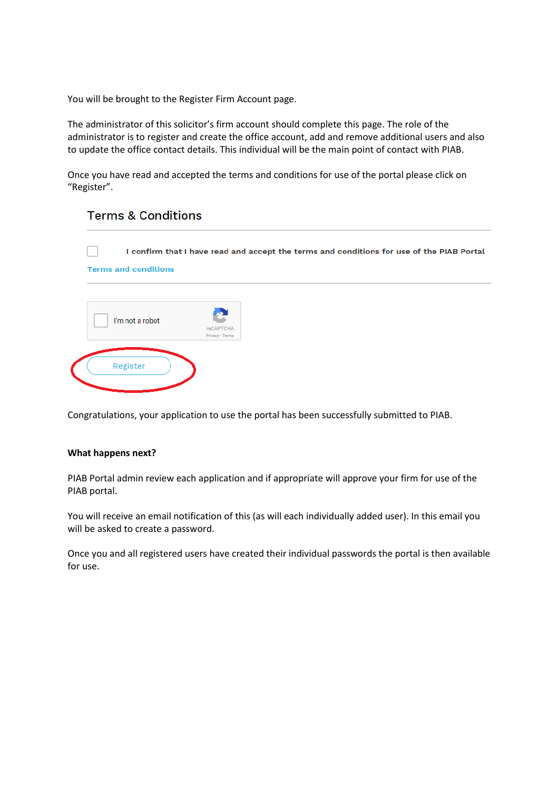You will be brought to the Register Firm Account page.

The administrator of this solicitor's firm account should complete this page. The role of the administrator is to register and create the office account, add and remove additional users and also to update the office contact details. This individual will be the main point of contact with PIAB.

Once you have read and accepted the terms and conditions for use of the portal please click on "Register".

# **Terms & Conditions**

I confirm that I have read and accept the terms and conditions for use of the PIAB Portal **Terms and conditions** I'm not a robot Register

Congratulations, your application to use the portal has been successfully submitted to PIAB.

## **What happens next?**

PIAB Portal admin review each application and if appropriate will approve your firm for use of the PIAB portal.

You will receive an email notification of this (as will each individually added user). In this email you will be asked to create a password.

Once you and all registered users have created their individual passwords the portal is then available for use.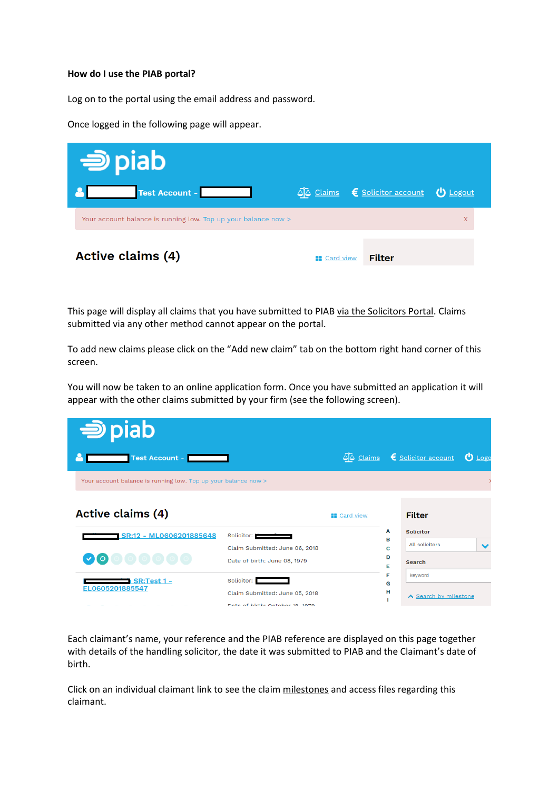### **How do I use the PIAB portal?**

Log on to the portal using the email address and password.

Once logged in the following page will appear.

| $\Rightarrow$ piab       |                                                                |                          |                     |                  |
|--------------------------|----------------------------------------------------------------|--------------------------|---------------------|------------------|
|                          | <b>Test Account -</b>                                          | $\Delta$ $\Delta$ Claims | € Solicitor account | $\bigcup$ Logout |
|                          | Your account balance is running low. Top up your balance now > |                          |                     | X                |
| <b>Active claims (4)</b> |                                                                | <b>E</b> Card view       | <b>Filter</b>       |                  |

This page will display all claims that you have submitted to PIAB via the Solicitors Portal. Claims submitted via any other method cannot appear on the portal.

To add new claims please click on the "Add new claim" tab on the bottom right hand corner of this screen.

You will now be taken to an online application form. Once you have submitted an application it will appear with the other claims submitted by your firm (see the following screen).

| $\Rightarrow$ piab                                             |                                                |                    |                         |                                                            |                        |
|----------------------------------------------------------------|------------------------------------------------|--------------------|-------------------------|------------------------------------------------------------|------------------------|
| <b>Test Account - France</b>                                   |                                                |                    |                         | $\overline{\triangle}$ Claims $\epsilon$ Solicitor account | $\mathbf{\Theta}$ Logo |
| Your account balance is running low. Top up your balance now > |                                                |                    |                         |                                                            |                        |
| <b>Active claims (4)</b>                                       |                                                | <b>E</b> Card view |                         | <b>Filter</b>                                              |                        |
| SR:12 - ML0606201885648                                        | Solicitor:<br>Claim Submitted: June 06, 2018   |                    | A<br>в<br>C             | <b>Solicitor</b><br>All solicitors                         |                        |
| 0000000                                                        | Date of birth: June 08, 1979                   |                    | D<br><b>Search</b><br>Е |                                                            |                        |
| SR:Test 1 -<br>EL0605201885547                                 | Solicitor: I<br>Claim Submitted: June 05, 2018 |                    | F<br>G<br>н             | keyword<br>▲ Search by milestone                           |                        |
|                                                                | Data of birth: October 19, 1979                |                    |                         |                                                            |                        |

Each claimant's name, your reference and the PIAB reference are displayed on this page together with details of the handling solicitor, the date it was submitted to PIAB and the Claimant's date of birth.

Click on an individual claimant link to see the claim milestones and access files regarding this claimant.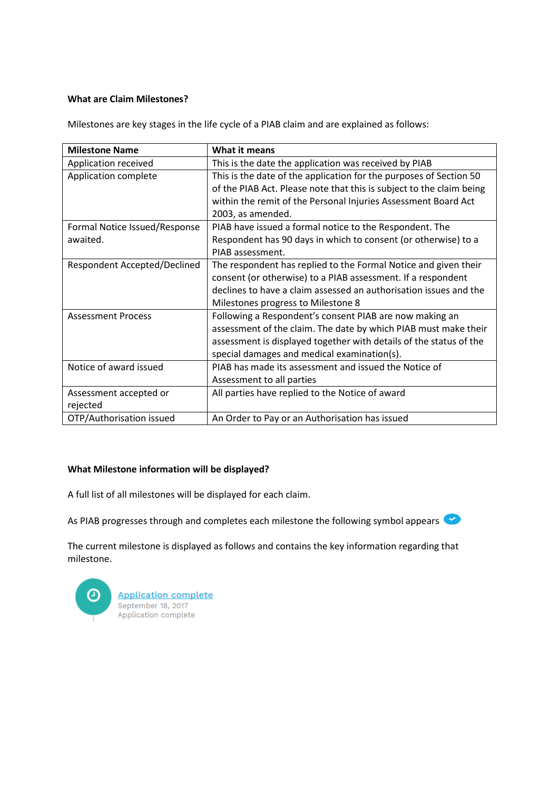# **What are Claim Milestones?**

Milestones are key stages in the life cycle of a PIAB claim and are explained as follows:

| <b>Milestone Name</b>         | What it means                                                        |  |  |
|-------------------------------|----------------------------------------------------------------------|--|--|
| Application received          | This is the date the application was received by PIAB                |  |  |
| Application complete          | This is the date of the application for the purposes of Section 50   |  |  |
|                               | of the PIAB Act. Please note that this is subject to the claim being |  |  |
|                               | within the remit of the Personal Injuries Assessment Board Act       |  |  |
|                               | 2003, as amended.                                                    |  |  |
| Formal Notice Issued/Response | PIAB have issued a formal notice to the Respondent. The              |  |  |
| awaited.                      | Respondent has 90 days in which to consent (or otherwise) to a       |  |  |
|                               | PIAB assessment.                                                     |  |  |
| Respondent Accepted/Declined  | The respondent has replied to the Formal Notice and given their      |  |  |
|                               | consent (or otherwise) to a PIAB assessment. If a respondent         |  |  |
|                               | declines to have a claim assessed an authorisation issues and the    |  |  |
|                               | Milestones progress to Milestone 8                                   |  |  |
| <b>Assessment Process</b>     | Following a Respondent's consent PIAB are now making an              |  |  |
|                               | assessment of the claim. The date by which PIAB must make their      |  |  |
|                               | assessment is displayed together with details of the status of the   |  |  |
|                               | special damages and medical examination(s).                          |  |  |
| Notice of award issued        | PIAB has made its assessment and issued the Notice of                |  |  |
|                               | Assessment to all parties                                            |  |  |
| Assessment accepted or        | All parties have replied to the Notice of award                      |  |  |
| rejected                      |                                                                      |  |  |
| OTP/Authorisation issued      | An Order to Pay or an Authorisation has issued                       |  |  |

# **What Milestone information will be displayed?**

A full list of all milestones will be displayed for each claim.

As PIAB progresses through and completes each milestone the following symbol appears

The current milestone is displayed as follows and contains the key information regarding that milestone.

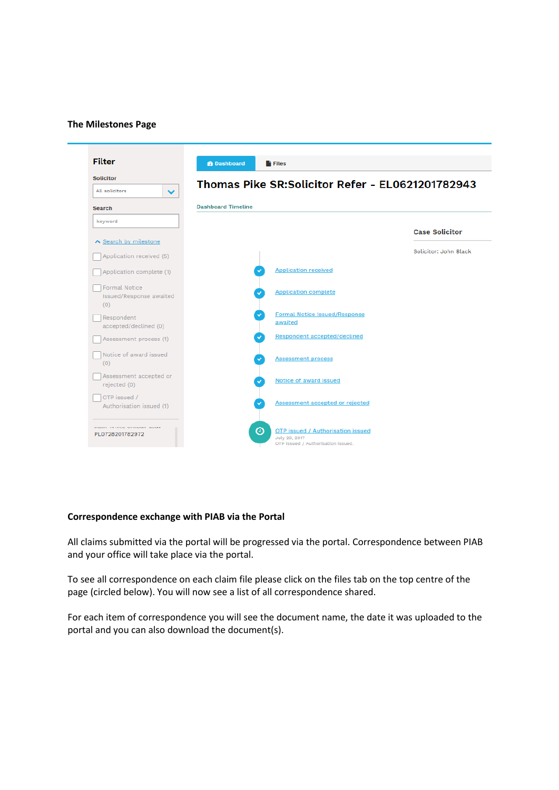### **The Milestones Page**

| <b>Filter</b>                                   | <b>&amp;</b> Dashboard<br><b>Files</b>                                                        |                       |
|-------------------------------------------------|-----------------------------------------------------------------------------------------------|-----------------------|
| <b>Solicitor</b>                                | Thomas Pike SR:Solicitor Refer - EL0621201782943                                              |                       |
| All solicitors<br>$\checkmark$                  |                                                                                               |                       |
| <b>Search</b>                                   | <b>Dashboard Timeline</b>                                                                     |                       |
| keyword                                         |                                                                                               | <b>Case Solicitor</b> |
| ▲ Search by milestone                           |                                                                                               |                       |
| Application received (5)                        |                                                                                               | Solicitor: John Black |
| Application complete (1)                        | <b>Application received</b>                                                                   |                       |
| Formal Notice<br>Issued/Response awaited<br>(0) | <b>Application complete</b>                                                                   |                       |
| Respondent<br>accepted/declined (0)             | <b>Formal Notice Issued/Response</b><br>awaited                                               |                       |
| Assessment process (1)                          | Respondent accepted/declined                                                                  |                       |
| Notice of award issued<br>(0)                   | <b>Assessment process</b>                                                                     |                       |
| Assessment accepted or<br>rejected (0)          | Notice of award issued                                                                        |                       |
| OTP issued /<br>Authorisation issued (1)        | Assessment accepted or rejected                                                               |                       |
| papir ilmao priposi apal<br>PL0728201782972     | ⊙<br>OTP issued / Authorisation issued<br>July 20, 2017<br>OTP issued / Authorisation issued. |                       |

### **Correspondence exchange with PIAB via the Portal**

All claims submitted via the portal will be progressed via the portal. Correspondence between PIAB and your office will take place via the portal.

To see all correspondence on each claim file please click on the files tab on the top centre of the page (circled below). You will now see a list of all correspondence shared.

For each item of correspondence you will see the document name, the date it was uploaded to the portal and you can also download the document(s).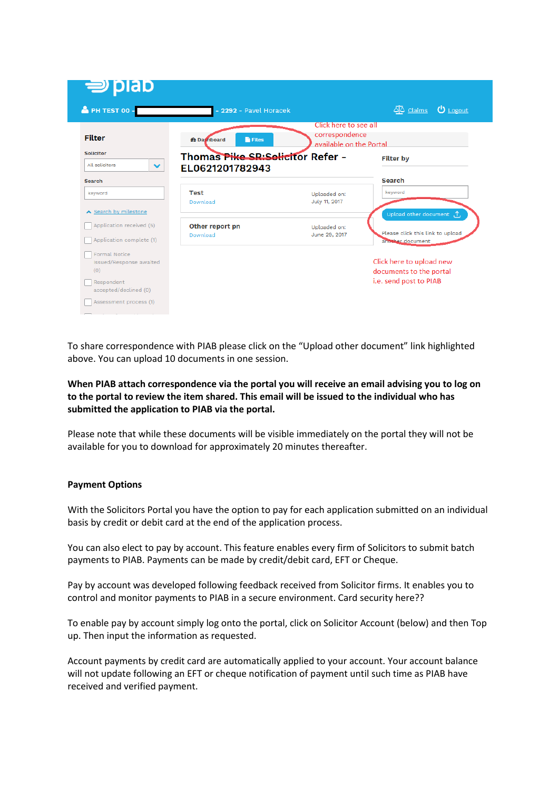

To share correspondence with PIAB please click on the "Upload other document" link highlighted above. You can upload 10 documents in one session.

**When PIAB attach correspondence via the portal you will receive an email advising you to log on to the portal to review the item shared. This email will be issued to the individual who has submitted the application to PIAB via the portal.** 

Please note that while these documents will be visible immediately on the portal they will not be available for you to download for approximately 20 minutes thereafter.

## **Payment Options**

With the Solicitors Portal you have the option to pay for each application submitted on an individual basis by credit or debit card at the end of the application process.

You can also elect to pay by account. This feature enables every firm of Solicitors to submit batch payments to PIAB. Payments can be made by credit/debit card, EFT or Cheque.

Pay by account was developed following feedback received from Solicitor firms. It enables you to control and monitor payments to PIAB in a secure environment. Card security here??

To enable pay by account simply log onto the portal, click on Solicitor Account (below) and then Top up. Then input the information as requested.

Account payments by credit card are automatically applied to your account. Your account balance will not update following an EFT or cheque notification of payment until such time as PIAB have received and verified payment.